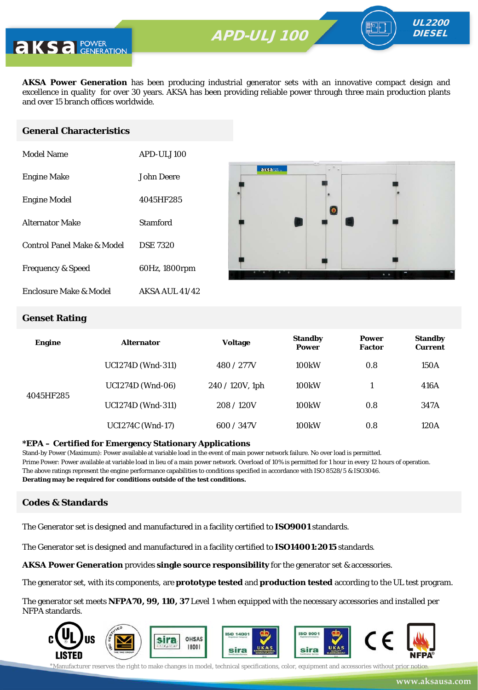**AKSA Power Generation** has been producing industrial generator sets with an innovative compact design and excellence in quality for over 30 years. AKSA has been providing reliable power through three main production plants and over 15 branch offices worldwide.

#### **General Characteristics**

| Model Name                   | APD-ULJ100            |
|------------------------------|-----------------------|
| <b>Engine Make</b>           | John Deere            |
| <b>Engine Model</b>          | 4045HF285             |
| <b>Alternator Make</b>       | Stamford              |
| Control Panel Make & Model   | <b>DSE 7320</b>       |
| <b>Frequency &amp; Speed</b> | 60Hz, 1800rpm         |
| Enclosure Make & Model       | <b>AKSA AUL 41/42</b> |



UL2200 **DIESEL** 

#### **Genset Rating**

| <b>Engine</b> | <b>Alternator</b>        | <b>Voltage</b>     | <b>Standby</b><br><b>Power</b> | <b>Power</b><br><b>Factor</b> | <b>Standby</b><br><b>Current</b> |
|---------------|--------------------------|--------------------|--------------------------------|-------------------------------|----------------------------------|
|               | <b>UCI274D</b> (Wnd-311) | 480 / 277V         | 100 <sub>k</sub> W             | 0.8                           | 150A                             |
| 4045HF285     | <b>UCI274D</b> (Wnd-06)  | $240 / 120V$ , 1ph | 100 <sub>k</sub> W             |                               | 416A                             |
|               | <b>UCI274D</b> (Wnd-311) | 208/120V           | 100 <sub>k</sub> W             | 0.8                           | 347A                             |
|               | <b>UCI274C</b> (Wnd-17)  | 600 / 347V         | 100 <sub>k</sub> W             | 0.8                           | 120A                             |

#### **\*EPA – Certified for Emergency Stationary Applications**

Stand-by Power (Maximum): Power available at variable load in the event of main power network failure. No over load is permitted. Prime Power: Power available at variable load in lieu of a main power network. Overload of 10% is permitted for 1 hour in every 12 hours of operation. The above ratings represent the engine performance capabilities to conditions specified in accordance with ISO 8528/5 & ISO3046. **Derating may be required for conditions outside of the test conditions.**

#### **Codes & Standards**

The Generator set is designed and manufactured in a facility certified to **ISO9001** standards.

The Generator set is designed and manufactured in a facility certified to **ISO14001:2015** standards.

**AKSA Power Generation** provides **single source responsibility** for the generator set & accessories.

The generator set, with its components, are **prototype tested** and **production tested** according to the UL test program.

The generator set meets **NFPA70, 99, 110, 37** Level 1 when equipped with the necessary accessories and installed per NFPA standards.

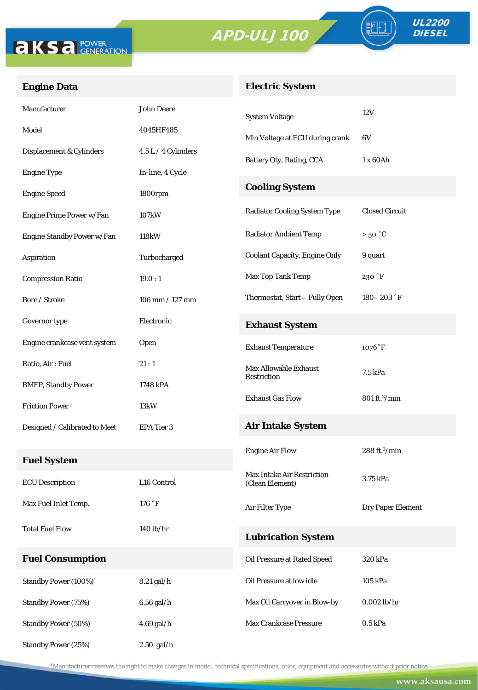



FO

## **Engine Data**

## **Electric System**

| Manufacturer                  | <b>John Deere</b>   | <b>System Voltage</b>                | 12V                       |  |
|-------------------------------|---------------------|--------------------------------------|---------------------------|--|
| Model                         | 4045HF485           | Min Voltage at ECU during crank      | 6V                        |  |
| Displacement & Cylinders      | 4.5 L / 4 Cylinders | Battery Qty, Rating, CCA             | 1 x 60Ah                  |  |
| <b>Engine Type</b>            | In-line, 4 Cycle    |                                      |                           |  |
| <b>Engine Speed</b>           | 1800rpm             | <b>Cooling System</b>                |                           |  |
| Engine Prime Power w/Fan      | 107kW               | <b>Radiator Cooling System Type</b>  | <b>Closed Circuit</b>     |  |
| Engine Standby Power w/Fan    | 118kW               | <b>Radiator Ambient Temp</b>         | $>50\text{ °C}$           |  |
| Aspiration                    | Turbocharged        | <b>Coolant Capacity, Engine Only</b> | 9 quart                   |  |
| <b>Compression Ratio</b>      | 19.0:1              | Max Top Tank Temp                    | 230 °F                    |  |
| Bore / Stroke                 | 106 mm / 127 mm     | Thermostat, Start - Fully Open       | $180 - 203$ $\degree$ F   |  |
| Governor type                 | Electronic          | <b>Exhaust System</b>                |                           |  |
| Engine crankcase vent system  | Open                | <b>Exhaust Temperature</b>           | $1076°$ F                 |  |
| Ratio, Air: Fuel              | 21:1                | <b>Max Allowable Exhaust</b>         | 7.5 kPa                   |  |
| <b>BMEP, Standby Power</b>    | 1748 kPA            | Restriction                          |                           |  |
| <b>Friction Power</b>         | 13kW                | <b>Exhaust Gas Flow</b>              | 801 ft. <sup>3</sup> /min |  |
| Designed / Calibrated to Meet | EPA Tier 3          | <b>Air Intake System</b>             |                           |  |
|                               |                     | <b>Engine Air Flow</b>               | $288$ ft. $3$ /min        |  |
| <b>Fuel System</b>            |                     | <b>Max Intake Air Restriction</b>    |                           |  |
| <b>ECU</b> Description        | L16 Control         | (Clean Element)                      | 3.75 kPa                  |  |
| Max Fuel Inlet Temp.          | 176 °F              | Air Filter Type                      | Dry Paper Element         |  |
| <b>Total Fuel Flow</b>        | 140 lb/hr           | <b>Lubrication System</b>            |                           |  |
| <b>Fuel Consumption</b>       |                     | Oil Pressure at Rated Speed          | 320 kPa                   |  |
| Standby Power (100%)          | 8.21 gal/h          | Oil Pressure at low idle             | 105 kPa                   |  |
| <b>Standby Power (75%)</b>    | 6.56 gal/h          | Max Oil Carryover in Blow-by         | $0.002$ lb/hr             |  |
| <b>Standby Power (50%)</b>    | 4.69 gal/h          | Max Crankcase Pressure               | $0.5$ kPa                 |  |
| <b>Standby Power (25%)</b>    | $2.50$ gal/h        |                                      |                           |  |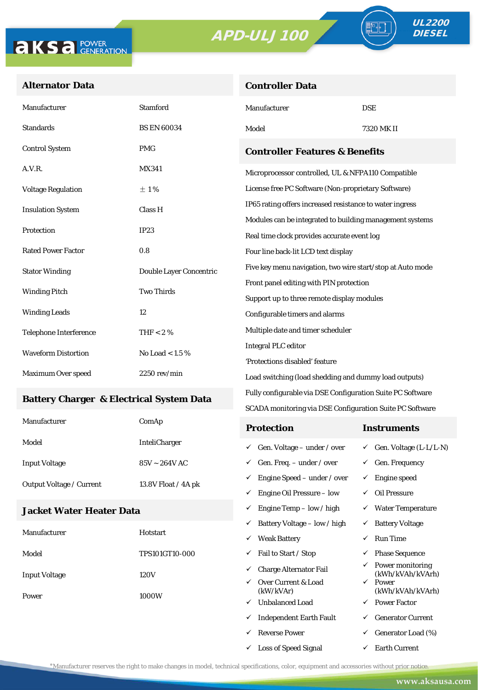**Controller Data**



ªŀ

#### **Alternator Data**

| Manufacturer                                    | <b>Stamford</b>         | Manufacturer                                                        | <b>DSE</b> |  |
|-------------------------------------------------|-------------------------|---------------------------------------------------------------------|------------|--|
| <b>Standards</b>                                | <b>BS EN 60034</b>      | Model                                                               | 7320 MK II |  |
| <b>Control System</b>                           | <b>PMG</b>              | <b>Controller Features &amp; Benefits</b>                           |            |  |
| A.V.R.                                          | <b>MX341</b>            | Microprocessor controlled, UL & NFPA110 Compatible                  |            |  |
| <b>Voltage Regulation</b>                       | ±1%                     | License free PC Software (Non-proprietary Software)                 |            |  |
| <b>Insulation System</b>                        | Class H                 | IP65 rating offers increased resistance to water ingress            |            |  |
|                                                 | IP23                    | Modules can be integrated to building management systems            |            |  |
| Protection                                      |                         | Real time clock provides accurate event log                         |            |  |
| <b>Rated Power Factor</b>                       | 0.8                     | Four line back-lit LCD text display                                 |            |  |
| <b>Stator Winding</b>                           | Double Layer Concentric | Five key menu navigation, two wire start/stop at Auto mode          |            |  |
| <b>Winding Pitch</b>                            | <b>Two Thirds</b>       | Front panel editing with PIN protection                             |            |  |
|                                                 |                         | Support up to three remote display modules                          |            |  |
| <b>Winding Leads</b>                            | 12                      | Configurable timers and alarms<br>Multiple date and timer scheduler |            |  |
| <b>Telephone Interference</b>                   | THF $< 2 \%$            |                                                                     |            |  |
| <b>Waveform Distortion</b><br>No Load < $1.5\%$ |                         | <b>Integral PLC editor</b>                                          |            |  |
|                                                 |                         | 'Protections disabled' feature                                      |            |  |
| Maximum Over speed                              | $2250$ rev/min          | Load switching (load shedding and dummy load outputs)               |            |  |

#### **Battery Charger & Electrical System Data**

| Manufacturer                    | ComAp                 | <b>Protection</b>                        | Instruments                         |
|---------------------------------|-----------------------|------------------------------------------|-------------------------------------|
| Model                           | <b>InteliCharger</b>  | $\checkmark$ Gen. Voltage – under / over | $\checkmark$ Gen. Voltage (L-L/L-N) |
| <b>Input Voltage</b>            | $85V \sim 264V$ AC    | $\checkmark$ Gen. Freq. – under / over   | $\checkmark$ Gen. Frequency         |
| <b>Output Voltage / Current</b> | 13.8V Float $/$ 4A pk | $\checkmark$ Engine Speed – under / over | Engine speed                        |
|                                 |                       | Engine Oil Pressure – low<br>✓           | Oil Pressure                        |

Fully configurable via DSE Configuration Suite PC Software SCADA monitoring via DSE Configuration Suite PC Software

 $\checkmark$  Engine Temp – low / high  $\checkmark$  Water Temperature

 $\checkmark$  Loss of Speed Signal  $\checkmark$  Earth Current

#### **Jacket Water Heater Data**

|                      |                 | ✓ | Battery Voltage - low / high     | ✓            | <b>Battery Voltage</b>               |
|----------------------|-----------------|---|----------------------------------|--------------|--------------------------------------|
| Manufacturer         | <b>Hotstart</b> | ✓ | <b>Weak Battery</b>              | ✓            | Run Time                             |
| Model                | TPS101GT10-000  | ✓ | Fail to Start / Stop             | $\checkmark$ | <b>Phase Sequence</b>                |
| <b>Input Voltage</b> | 120V            | ✓ | <b>Charge Alternator Fail</b>    | ✓            | Power monitoring<br>(kWh/kVAh/kVArh) |
| Power                | ✓<br>1000W<br>✓ |   | Over Current & Load<br>(kW/kVAr) | ✓            | Power<br>(kWh/kVAh/kVArh)            |
|                      |                 |   | <b>Unbalanced Load</b>           | ✓            | <b>Power Factor</b>                  |
|                      |                 | ✓ | <b>Independent Earth Fault</b>   | ✓            | <b>Generator Current</b>             |
|                      |                 | v | <b>Reverse Power</b>             | ✓            | Generator Load (%)                   |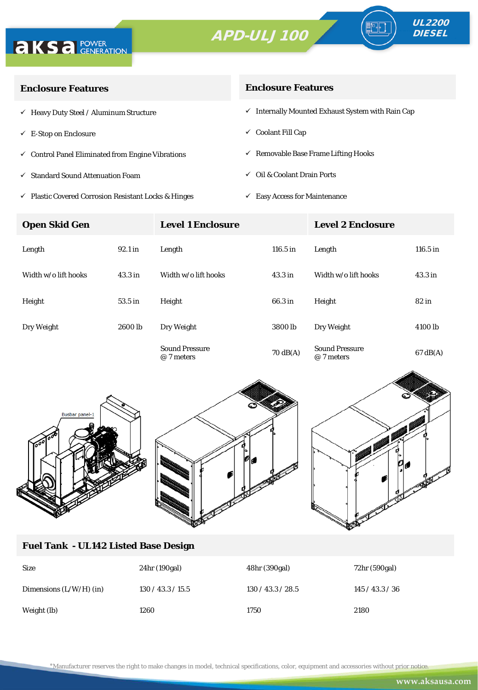



| <b>Enclosure Features</b>                                    | <b>Enclosure Features</b>                                    |  |  |
|--------------------------------------------------------------|--------------------------------------------------------------|--|--|
| $\checkmark$ Heavy Duty Steel / Aluminum Structure           | $\checkmark$ Internally Mounted Exhaust System with Rain Cap |  |  |
| $\checkmark$ E-Stop on Enclosure                             | $\checkmark$ Coolant Fill Cap                                |  |  |
| $\checkmark$ Control Panel Eliminated from Engine Vibrations | $\checkmark$ Removable Base Frame Lifting Hooks              |  |  |
| √ Standard Sound Attenuation Foam                            | $\checkmark$ Oil & Coolant Drain Ports                       |  |  |
|                                                              |                                                              |  |  |

 $\checkmark$ Plastic Covered Corrosion Resistant Locks & Hinges

#### **Enclosure Features**

 $\checkmark~$  Easy Access for Maintenance

| <b>Open Skid Gen</b> |                    | <b>Level 1 Enclosure</b>            |                    | <b>Level 2 Enclosure</b>            |                    |
|----------------------|--------------------|-------------------------------------|--------------------|-------------------------------------|--------------------|
| Length               | 92.1 in            | Length                              | 116.5 in           | Length                              | $116.5$ in         |
| Width w/o lift hooks | 43.3 <sub>in</sub> | Width w/o lift hooks                | 43.3 in            | Width w/o lift hooks                | 43.3 <sub>in</sub> |
| Height               | 53.5 in            | Height                              | 66.3 in            | Height                              | 82 in              |
| Dry Weight           | 2600 lb            | Dry Weight                          | 3800 <sub>lb</sub> | Dry Weight                          | 4100 lb            |
|                      |                    | <b>Sound Pressure</b><br>@ 7 meters | $70 \text{ dB(A)}$ | <b>Sound Pressure</b><br>@ 7 meters | $67 \text{ dB}(A)$ |





#### **Fuel Tank - UL142 Listed Base Design**

| <b>Size</b>               | 24hr (190gal)     | 48hr (390gal)     | 72hr (590gal) |
|---------------------------|-------------------|-------------------|---------------|
| Dimensions $(L/W/H)$ (in) | 130 / 43.3 / 15.5 | 130 / 43.3 / 28.5 | 145/43.3/36   |
| Weight (lb)               | 1260              | 1750              | 2180          |